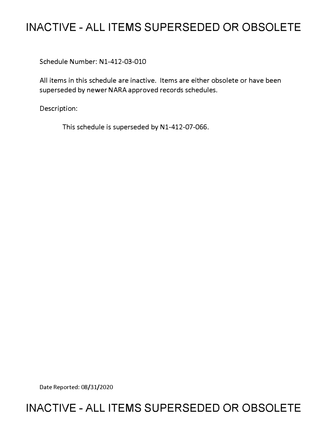# **INACTIVE - ALL ITEMS SUPERSEDED OR OBSOLETE**

Schedule Number: Nl-412-03-010

All items in this schedule are inactive. Items are either obsolete or have been superseded by newer NARA approved records schedules.

Description:

This schedule is superseded by N1-412-07-066.

Date Reported: 08/31/2020

## **INACTIVE - ALL ITEMS SUPERSEDED OR OBSOLETE**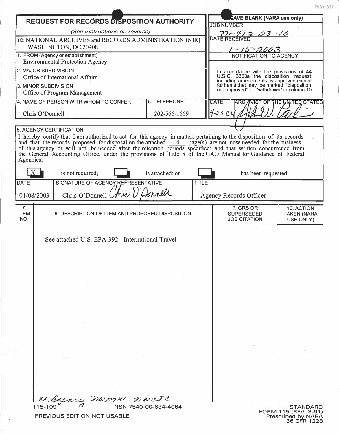|                                                                                   |                                |                                                                                                                                                                                                                           |                      |              |                                                                                                                                                                                                                         | NWML                                          |  |
|-----------------------------------------------------------------------------------|--------------------------------|---------------------------------------------------------------------------------------------------------------------------------------------------------------------------------------------------------------------------|----------------------|--------------|-------------------------------------------------------------------------------------------------------------------------------------------------------------------------------------------------------------------------|-----------------------------------------------|--|
| <b>REQUEST FOR RECORDS DISPOSITION AUTHORITY</b><br>(See Instructions on reverse) |                                |                                                                                                                                                                                                                           |                      |              | <b>EAVE BLANK (NARA use only)</b>                                                                                                                                                                                       |                                               |  |
|                                                                                   |                                |                                                                                                                                                                                                                           |                      |              | <b>JOB NUMBER</b>                                                                                                                                                                                                       |                                               |  |
|                                                                                   |                                | TO: NATIONAL ARCHIVES and RECORDS ADMINISTRATION (NIR)                                                                                                                                                                    |                      |              | $\frac{\gamma_1-\gamma_2-\gamma_3-\gamma_3-\gamma_0}{\text{DATE RECEIVED}}$                                                                                                                                             |                                               |  |
| WASHINGTON, DC 20408                                                              |                                |                                                                                                                                                                                                                           |                      |              | $1 - 15 - 2003$                                                                                                                                                                                                         |                                               |  |
| 1. FROM (Agency or establishment)<br><b>Environmental Protection Agency</b>       |                                |                                                                                                                                                                                                                           |                      |              | NOTIFICATION TO AGENCY                                                                                                                                                                                                  |                                               |  |
|                                                                                   |                                |                                                                                                                                                                                                                           |                      |              |                                                                                                                                                                                                                         |                                               |  |
| 2. MAJOR SUBDIVISION<br>Office of International Affairs                           |                                |                                                                                                                                                                                                                           |                      |              | In accordance with the provisions of 44<br>U.S.C. 3303a the disposition request,<br>including amendments, is approved except<br>for items that may be marked "disposition<br>not approved" or "withdrawn" in column 10. |                                               |  |
| 3. MINOR SUBDIVISION                                                              |                                |                                                                                                                                                                                                                           |                      |              |                                                                                                                                                                                                                         |                                               |  |
|                                                                                   |                                | Office of Program Management                                                                                                                                                                                              |                      |              |                                                                                                                                                                                                                         |                                               |  |
| 4. NAME OF PERSON WITH WHOM TO CONFER<br>5. TELEPHONE                             |                                |                                                                                                                                                                                                                           |                      |              | <b>DATE</b>                                                                                                                                                                                                             | ARCHIVIST OF THE UNITED STATES                |  |
| Chris O'Donnell<br>202-566-1669                                                   |                                |                                                                                                                                                                                                                           |                      |              | $-23 - 06$                                                                                                                                                                                                              |                                               |  |
|                                                                                   |                                |                                                                                                                                                                                                                           |                      |              |                                                                                                                                                                                                                         |                                               |  |
|                                                                                   | <b>6. AGENCY CERTIFICATION</b> | I hereby certify that I am authorized to act for this agency in matters pertaining to the disposition of its records                                                                                                      |                      |              |                                                                                                                                                                                                                         |                                               |  |
| Agencies,                                                                         |                                | of this agency or will not be needed after the retention periods specified; and that written concurrence from<br>the General Accounting Office, under the provisions of Title 8 of the GAO Manual for Guidance of Federal |                      |              |                                                                                                                                                                                                                         |                                               |  |
|                                                                                   |                                | is not required;                                                                                                                                                                                                          | is attached; or      |              | has been requested.                                                                                                                                                                                                     |                                               |  |
| <b>DATE</b>                                                                       |                                | SIGNATURE OF AGENCY REPRESENTATIVE                                                                                                                                                                                        |                      | <b>TITLE</b> |                                                                                                                                                                                                                         |                                               |  |
| 01/08/2003                                                                        |                                | Chris O'Donnell (Arie) U Donnell                                                                                                                                                                                          |                      |              | Agency Records Officer                                                                                                                                                                                                  |                                               |  |
| 7.<br><b>ITEM</b><br>NO.                                                          |                                | 8. DESCRIPTION OF ITEM AND PROPOSED DISPOSITION                                                                                                                                                                           |                      |              | 9. GRS OR<br><b>SUPERSEDED</b><br><b>JOB CITATION</b>                                                                                                                                                                   | 10. ACTION<br><b>TAKEN (NARA</b><br>USE ONLY) |  |
|                                                                                   |                                | See attached U.S. EPA 392 - International Travel                                                                                                                                                                          |                      |              |                                                                                                                                                                                                                         |                                               |  |
|                                                                                   |                                |                                                                                                                                                                                                                           |                      |              |                                                                                                                                                                                                                         |                                               |  |
|                                                                                   | 115-109                        | sence nomm nocte                                                                                                                                                                                                          | NSN 7540-00-634-4064 |              |                                                                                                                                                                                                                         | <b>STANDARD</b>                               |  |

þ.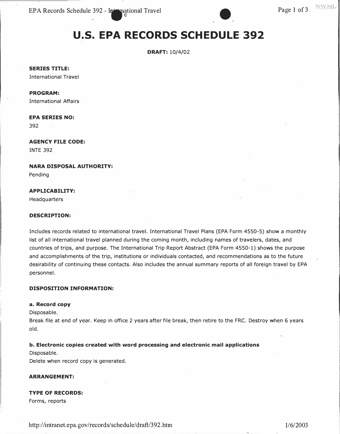EPA Records Schedule 392 - International Travel Page 1 of 3

### **U.S. EPA RECORDS SCHEDULE 392**

**DRAFT:** 10/4/02

**SERIES TITLE:** 

International Travel

#### **PROGRAM:**

International Affairs

### **EPA SERIES NO:**

392

**AGENCY FILE CODE:**  INTE 392

**NARA DISPOSAL AUTHORITY:** 

Pending

#### **APPLICABILITY:**

Headquarters

#### **DESCRIPTION:**

Includes records related to international travel. International Travel Plans (EPA Form 4550-5) show a monthly list of all international travel planned during the coming month, including names of travelers, dates, and countries of trips, and purpose. The International Trip Report Abstract (EPA Form 4550-1) shows the purpose and accomplishments of the trip, institutions or individuals contacted, and recommendations as to the future desirability of continuing these contacts. Also includes the annual summary reports of all foreign travel by EPA personnel.

#### **DISPOSITION INFORMATION:**

#### **a. Record copy**

Disposable.

Break file at end of year. Keep in office 2 years after file break, then retire to the FRC. Destroy when 6 years old.

#### **b. Electronic copies created with word processing and electronic mail applications**

Disposable.

Delete when record copy is generated.

#### **ARRANGEMENT:**

#### **TYPE OF RECORDS:**

Forms, reports

http://intranet.epa.gov/records/schedule/draft/392.htm 1/6/2003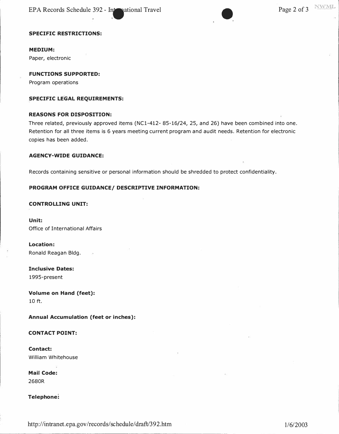EPA Records Schedule 392 - International Travel Page 2 of 3



#### **SPECIFIC RESTRICTIONS:**

**MEDIUM:** 

**Paper, electronic** 

**FUNCTIONS SUPPORTED:** 

**Program operations** 

#### **SPECIFIC LEGAL REQUIREMENTS:**

#### **REASONS FOR DISPOSITION:**

**Three related, previously approved items (NCl-412- 85-16/24, 25, and 26) have been combined into one. Retention for all three items is 6 years meeting current program and audit needs. Retention for electronic copies has been added.** 

#### **AGENCY-WIDE GUIDANCE:**

**Records containing sensitive or personal information should be shredded to protect confidentiality.** 

#### **PROGRAM OFFICE GUIDANCE/ DESCRIPTIVE INFORMATION:**

#### **CONTROLLING UNIT:**

**Unit: Office of International Affairs** 

**Location: Ronald Reagan Bldg.** 

**Inclusive Dates: 1995-present** 

**Volume on Hand (feet): 10 ft.** 

**Annual Accumulation (feet or inches):** 

#### **CONTACT POINT:**

**Contact: William Whitehouse** 

**Mail Code: 2680R** 

**Telephone:** 

<http://intranet.epa.gov/records/schedule/>draft/392.htm 1/6/2003